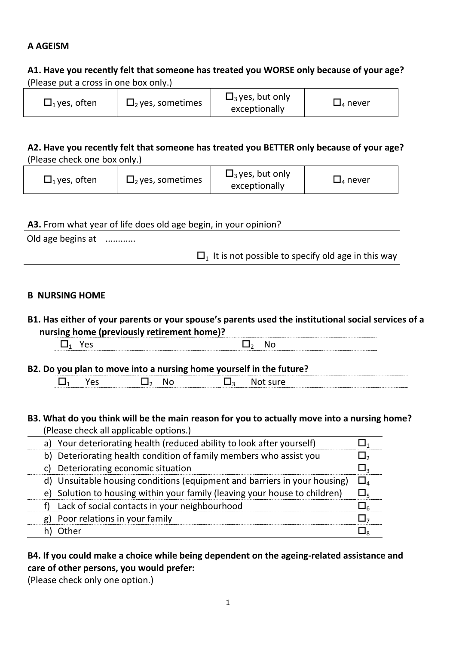## **A AGEISM**

## **A1. Have you recently felt that someone has treated you WORSE only because of your age?**  (Please put a cross in one box only.)

| $\Box_1$ yes, often | $\Box$ , yes, sometimes | $\Box$ <sub>3</sub> yes, but only<br>exceptionally | $\square$ <sub>4</sub> never |
|---------------------|-------------------------|----------------------------------------------------|------------------------------|
|---------------------|-------------------------|----------------------------------------------------|------------------------------|

### **A2. Have you recently felt that someone has treated you BETTER only because of your age?**  (Please check one box only.)

| $\Box$ <sub>1</sub> yes, often | $\Box$ , yes, sometimes | $\Box$ <sub>3</sub> yes, but only<br>exceptionally | $\square$ <sub>4</sub> never |
|--------------------------------|-------------------------|----------------------------------------------------|------------------------------|
|--------------------------------|-------------------------|----------------------------------------------------|------------------------------|

### **A3.** From what year of life does old age begin, in your opinion?

Old age begins at ............

 $\Box$ <sub>1</sub> It is not possible to specify old age in this way

### **B NURSING HOME**

**B1. Has either of your parents or your spouse's parents used the institutional social services of a nursing home (previously retirement home)?**

**B2. Do you plan to move into a nursing home yourself in the future?**  $\Box_1$  Yes  $\Box_2$  No  $\Box_3$  Not sure

### **B3. What do you think will be the main reason for you to actually move into a nursing home?**  (Please check all applicable options.)

|    | a) Your deteriorating health (reduced ability to look after yourself)      |            |
|----|----------------------------------------------------------------------------|------------|
|    | b) Deteriorating health condition of family members who assist you         |            |
|    | c) Deteriorating economic situation                                        |            |
|    | d) Unsuitable housing conditions (equipment and barriers in your housing)  | $\Box$     |
|    | e) Solution to housing within your family (leaving your house to children) | $\Box_{5}$ |
|    | Lack of social contacts in your neighbourhood                              |            |
| g) | Poor relations in your family                                              |            |
|    | Other                                                                      |            |

# **B4. If you could make a choice while being dependent on the ageing-related assistance and care of other persons, you would prefer:**

(Please check only one option.)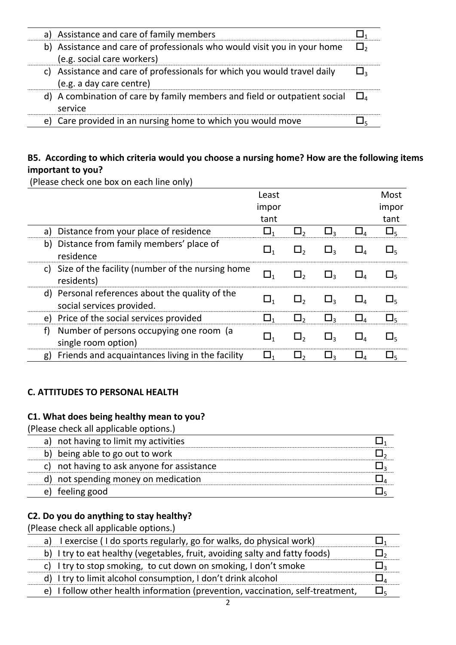|  | a) Assistance and care of family members                                                                 |             |
|--|----------------------------------------------------------------------------------------------------------|-------------|
|  | b) Assistance and care of professionals who would visit you in your home<br>(e.g. social care workers)   | $\square$ , |
|  | c) Assistance and care of professionals for which you would travel daily<br>(e.g. a day care centre)     |             |
|  | d) A combination of care by family members and field or outpatient social $\Box$ <sub>4</sub><br>service |             |
|  | e) Care provided in an nursing home to which you would move                                              |             |
|  |                                                                                                          |             |

# **B5. According to which criteria would you choose a nursing home? How are the following items important to you?**

(Please check one box on each line only) Least impor tant Most impor tant a) Distance from your place of residence  $\Box_1$   $\Box_2$   $\Box_3$   $\Box_4$   $\Box_5$ b) Distance from family members' place of  $\Box_1$   $\Box_2$   $\Box_3$   $\Box_4$   $\Box_5$ <br>residence c) Size of the facility (number of the nursing home  $\Box_1$   $\Box_2$   $\Box_3$   $\Box_4$   $\Box_5$ <br>residents) d) Personal references about the quality of the social services provided.<br>Social services provided. e) Price of the social services provided  $\Box_1$   $\Box_2$   $\Box_3$   $\Box_4$   $\Box_5$ f) Number of persons occupying one room (a single room option)  $\Box_1$   $\Box_2$   $\Box_3$   $\Box_4$   $\Box_5$ g) Friends and acquaintances living in the facility  $\Box_1$   $\Box_2$   $\Box_3$   $\Box_4$   $\Box_5$ 

# **C. ATTITUDES TO PERSONAL HEALTH**

### **C1. What does being healthy mean to you?**

(Please check all applicable options.)

| a) not having to limit my activities       |  |
|--------------------------------------------|--|
| b) being able to go out to work            |  |
| c) not having to ask anyone for assistance |  |
| d) not spending money on medication        |  |
| feeling good<br>e)                         |  |

### **C2. Do you do anything to stay healthy?**

(Please check all applicable options.)

| a) lexercise (I do sports regularly, go for walks, do physical work)           |  |
|--------------------------------------------------------------------------------|--|
| b) I try to eat healthy (vegetables, fruit, avoiding salty and fatty foods)    |  |
| c) I try to stop smoking, to cut down on smoking, I don't smoke                |  |
| d) I try to limit alcohol consumption, I don't drink alcohol                   |  |
| e) I follow other health information (prevention, vaccination, self-treatment, |  |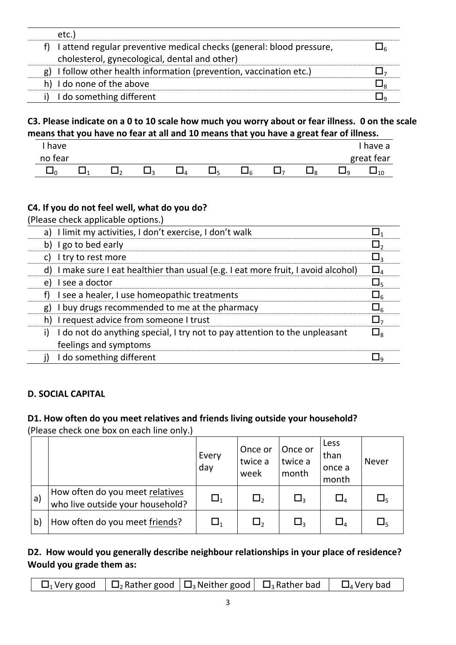| etc.)                     |                                                                      |  |
|---------------------------|----------------------------------------------------------------------|--|
|                           | I attend regular preventive medical checks (general: blood pressure, |  |
|                           | cholesterol, gynecological, dental and other)                        |  |
|                           | g) I follow other health information (prevention, vaccination etc.)  |  |
| h) I do none of the above |                                                                      |  |
| I do something different  |                                                                      |  |

# **C3. Please indicate on a 0 to 10 scale how much you worry about or fear illness. 0 on the scale means that you have no fear at all and 10 means that you have a great fear of illness.**

| have    |  |  |  |     |  | have a     |
|---------|--|--|--|-----|--|------------|
| no fear |  |  |  |     |  | great fear |
|         |  |  |  | . . |  | 10         |

# **C4. If you do not feel well, what do you do?**

(Please check applicable options.)

| a) I limit my activities, I don't exercise, I don't walk                           | $\sqcup_1$                          |
|------------------------------------------------------------------------------------|-------------------------------------|
| b) I go to bed early                                                               | $\square$ ,                         |
| c) I try to rest more                                                              | $\Box$ 3                            |
| d) I make sure I eat healthier than usual (e.g. I eat more fruit, I avoid alcohol) | $\square_4$                         |
| I see a doctor<br>e)                                                               | $\square_{\varsigma}$               |
| I see a healer, I use homeopathic treatments                                       | $\square_6$                         |
| I buy drugs recommended to me at the pharmacy<br>g)                                | $\square_6$                         |
| h) I request advice from someone I trust                                           | $\Box$ <sub>7</sub>                 |
| I do not do anything special, I try not to pay attention to the unpleasant<br>i)   | $\square_{\scriptscriptstyle\rm R}$ |
| feelings and symptoms                                                              |                                     |
| I do something different                                                           | $\sqcup$ a                          |
|                                                                                    |                                     |

# **D. SOCIAL CAPITAL**

# **D1. How often do you meet relatives and friends living outside your household?**

(Please check one box on each line only.)

|              |                                                                     | Every<br>day | Once or<br>twice a<br>week | Once or<br>twice a<br>month | Less<br>than<br>once a<br>month | Never       |
|--------------|---------------------------------------------------------------------|--------------|----------------------------|-----------------------------|---------------------------------|-------------|
| a)           | How often do you meet relatives<br>who live outside your household? | $\Box_1$     | $\Box_2$                   | $\square$                   | $\Box_{\it 4}$                  | $\square$   |
| $\mathsf{b}$ | How often do you meet friends?                                      | $\sqcup_1$   | $\Box_2$                   | $\Box$ 3                    | $\square_{\texttt{4}}$          | $\square_5$ |

## **D2. How would you generally describe neighbour relationships in your place of residence? Would you grade them as:**

|  | $\Box_1$ Very good $\Box$ Rather good $\Box_3$ Neither good $\Box_3$ Rather bad $\Box$ Very bad |  |
|--|-------------------------------------------------------------------------------------------------|--|
|  |                                                                                                 |  |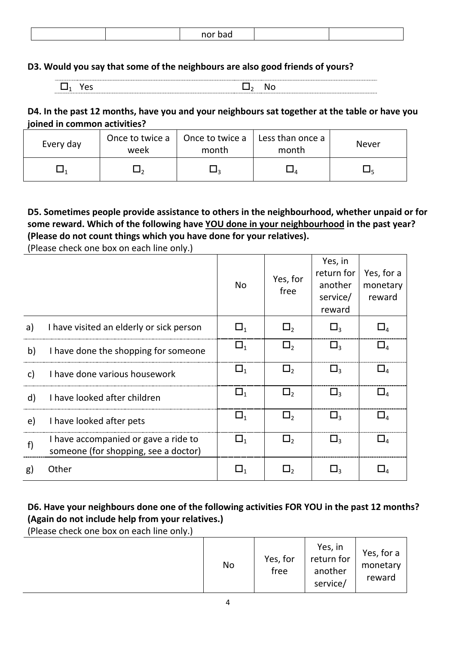|  |  |  | nor h<br>nə |  |  |
|--|--|--|-------------|--|--|
|--|--|--|-------------|--|--|

### **D3. Would you say that some of the neighbours are also good friends of yours?**

### **D4. In the past 12 months, have you and your neighbours sat together at the table or have you joined in common activities?**

| Every day | Once to twice a<br>week | Once to twice a<br>month | Less than once a<br>month | <b>Never</b> |
|-----------|-------------------------|--------------------------|---------------------------|--------------|
|           |                         |                          |                           |              |

## **D5. Sometimes people provide assistance to others in the neighbourhood, whether unpaid or for some reward. Which of the following have YOU done in your neighbourhood in the past year? (Please do not count things which you have done for your relatives).**

(Please check one box on each line only.)

|    |                                                                              | <b>No</b>   | Yes, for<br>free | Yes, in<br>return for<br>another<br>service/<br>reward | Yes, for a<br>monetary<br>reward  |
|----|------------------------------------------------------------------------------|-------------|------------------|--------------------------------------------------------|-----------------------------------|
| a) | I have visited an elderly or sick person                                     | $\square_1$ | $\square$ ,      | $\Box$ <sub>3</sub>                                    | $\Box$                            |
| b) | I have done the shopping for someone                                         | $\Box_1$    | $\square$        | $\Box$ <sub>3</sub>                                    | $\Box$                            |
| c) | I have done various housework                                                | $\Box_1$    | $\square$ ,      | $\mathsf{L}_3$                                         | $\Box_{\scriptscriptstyle{A}}$    |
| d) | I have looked after children                                                 | $\square_1$ | $\Box$           | $\square_3$                                            | $\square_{\scriptscriptstyle{A}}$ |
| e) | I have looked after pets                                                     | $\Box_1$    | $\square$        | $\Box$ 3                                               | $\square_{\scriptscriptstyle{A}}$ |
| f) | I have accompanied or gave a ride to<br>someone (for shopping, see a doctor) | $\square_1$ | $\square$ ,      | $\Box$ <sub>3</sub>                                    | $\Box$                            |
| g) | Other                                                                        | $\sqcup_1$  | 凵,               |                                                        | $\Box$                            |

# **D6. Have your neighbours done one of the following activities FOR YOU in the past 12 months? (Again do not include help from your relatives.)**

(Please check one box on each line only.)

| . . | No | Yes, for<br>free | Yes, in<br>return for<br>another<br>service/ | Yes, for a<br>monetary<br>reward |
|-----|----|------------------|----------------------------------------------|----------------------------------|
|-----|----|------------------|----------------------------------------------|----------------------------------|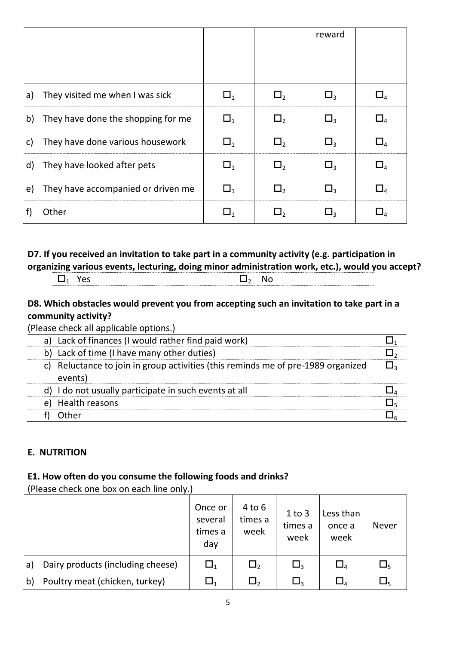|    |                                       |                | reward |  |
|----|---------------------------------------|----------------|--------|--|
|    |                                       |                |        |  |
|    |                                       |                |        |  |
| a) | They visited me when I was sick       | L 1            |        |  |
| b) | They have done the shopping for me    | $\Box$         |        |  |
| C) | They have done various housework      | $\Box$         |        |  |
| d) | They have looked after pets           | $\mathbf{I}_1$ |        |  |
|    | e) They have accompanied or driven me | LJ 1           |        |  |
|    | Other                                 |                |        |  |

# **D7. If you received an invitation to take part in a community activity (e.g. participation in organizing various events, lecturing, doing minor administration work, etc.), would you accept?**

|--|

# **D8. Which obstacles would prevent you from accepting such an invitation to take part in a community activity?**

(Please check all applicable options.)

| a) Lack of finances (I would rather find paid work)                                            |  |
|------------------------------------------------------------------------------------------------|--|
| b) Lack of time (I have many other duties)                                                     |  |
| Reluctance to join in group activities (this reminds me of pre-1989 organized<br>C)<br>events) |  |
| d) I do not usually participate in such events at all                                          |  |
| Health reasons<br>e)                                                                           |  |
| Other                                                                                          |  |
|                                                                                                |  |

# **E. NUTRITION**

### **E1. How often do you consume the following foods and drinks?**

(Please check one box on each line only.)

|    |                                   | Once or<br>several<br>times a<br>day | $4$ to $6$<br>times a<br>week | $1$ to $3$<br>times a<br>week | Less than<br>once a<br>week    | <b>Never</b>       |
|----|-----------------------------------|--------------------------------------|-------------------------------|-------------------------------|--------------------------------|--------------------|
| a) | Dairy products (including cheese) | $\Box_1$                             | $\Box$                        | $\Box$ <sub>3</sub>           | $\Box_{\scriptscriptstyle{A}}$ | $\square_5$        |
| b) | Poultry meat (chicken, turkey)    | $\sqcup_1$                           | Ь٠.                           | $\Box_3$                      | $\Box_{4}$                     | $\Box_{\varsigma}$ |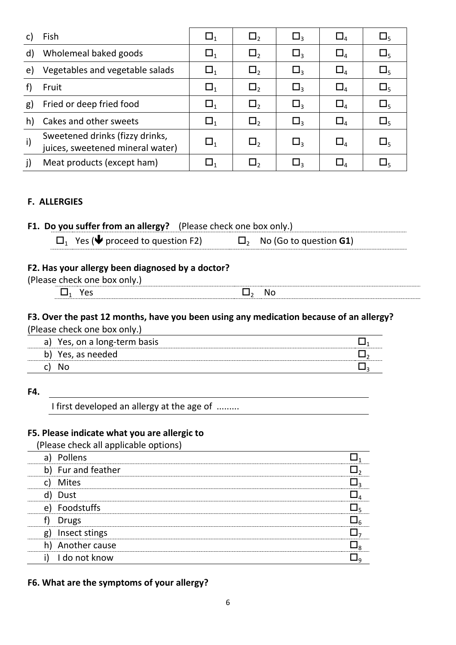| C) | Fish                                                                | $\Box_1$   | $\Box$      | $\Box$ 3               | $\square_4$                       | $\sqcup_{5}$ |
|----|---------------------------------------------------------------------|------------|-------------|------------------------|-----------------------------------|--------------|
| d) | Wholemeal baked goods                                               | $\Box_1$   | $\Box$      | $\Box$ 3               | $\square_4$                       | $\square_5$  |
| e) | Vegetables and vegetable salads                                     | $\Box_1$   | $\Box$      | $\square$ <sub>3</sub> | $\square_4$                       | $\square_5$  |
|    | Fruit                                                               | $\Box_1$   | $\Box$      | $\Box$ <sub>3</sub>    | $\square_4$                       | $\square_5$  |
| g) | Fried or deep fried food                                            | $\Box_1$   | $\square$   | $\square$ <sub>3</sub> | $\square_4$                       | $\square$    |
| h) | Cakes and other sweets                                              | $\Box_1$   | $\Box$      | $\Box$ <sub>3</sub>    | $\square_4$                       | $\square_5$  |
| i) | Sweetened drinks (fizzy drinks,<br>juices, sweetened mineral water) | $\Box_1$   | $\square$ , | $\square$              | $\square_{\scriptscriptstyle{A}}$ | $\square$    |
|    | Meat products (except ham)                                          | $\sqcup_1$ |             | ⊔∢                     | $\Box_4$                          |              |

### **F. ALLERGIES**

| <b>F1. Do you suffer from an allergy?</b> (Please check one box only.) |  |
|------------------------------------------------------------------------|--|
|                                                                        |  |

| $\square_1$ Yes ( $\blacklozenge$ proceed to question F2) | $\square_2$ No (Go to question <b>G1)</b> |
|-----------------------------------------------------------|-------------------------------------------|
|-----------------------------------------------------------|-------------------------------------------|

# **F2. Has your allergy been diagnosed by a doctor?**

| $\sqrt{2}$<br>. ⊔<br>w<br>، ⊶ ۱<br>-<br>- |             |  |
|-------------------------------------------|-------------|--|
| . .                                       | N<br>$\sim$ |  |

### **F3. Over the past 12 months, have you been using any medication because of an allergy?** (Please check one box only.)

|    | Yes, on a long-term basis |  |
|----|---------------------------|--|
| h) | Yes, as needed            |  |
|    |                           |  |

**F4.** 

I first developed an allergy at the age of .........

### **F5. Please indicate what you are allergic to**

(Please check all applicable options)

| Pollens<br>a)       |  |
|---------------------|--|
| b) Fur and feather  |  |
| Mites               |  |
| Dust                |  |
| Foodstuffs<br>e)    |  |
| <b>Drugs</b>        |  |
| Insect stings<br>g) |  |
| h) Another cause    |  |
| i)<br>I do not know |  |
|                     |  |

### **F6. What are the symptoms of your allergy?**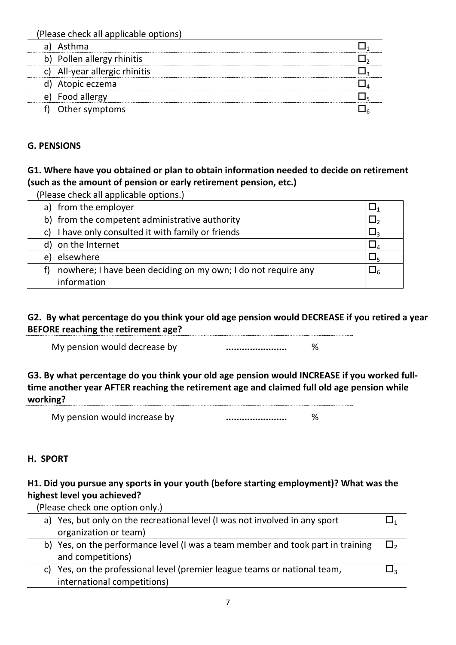(Please check all applicable options)

| aı | Asthma                        |  |
|----|-------------------------------|--|
|    | b) Pollen allergy rhinitis    |  |
|    | c) All-year allergic rhinitis |  |
|    | d) Atopic eczema              |  |
| e) | Food allergy                  |  |
|    | Other symptoms                |  |

## **G. PENSIONS**

## **G1. Where have you obtained or plan to obtain information needed to decide on retirement (such as the amount of pension or early retirement pension, etc.)**

| (Please check all applicable options.)                              |  |
|---------------------------------------------------------------------|--|
| a) from the employer                                                |  |
| b) from the competent administrative authority                      |  |
| I have only consulted it with family or friends                     |  |
| d) on the Internet                                                  |  |
| elsewhere<br>e)                                                     |  |
| nowhere; I have been deciding on my own; I do not require any<br>t) |  |
| information                                                         |  |

## **G2. By what percentage do you think your old age pension would DECREASE if you retired a year BEFORE reaching the retirement age?**

My pension would decrease by **................................** %

**G3. By what percentage do you think your old age pension would INCREASE if you worked fulltime another year AFTER reaching the retirement age and claimed full old age pension while working?** 

| My pension would increase by |  |
|------------------------------|--|
|                              |  |

# **H. SPORT**

# **H1. Did you pursue any sports in your youth (before starting employment)? What was the highest level you achieved?**

(Please check one option only.)

| a) Yes, but only on the recreational level (I was not involved in any sport     |          |
|---------------------------------------------------------------------------------|----------|
| organization or team)                                                           |          |
| b) Yes, on the performance level (I was a team member and took part in training | $\Box$ , |
| and competitions)                                                               |          |
| c) Yes, on the professional level (premier league teams or national team,       |          |
| international competitions)                                                     |          |